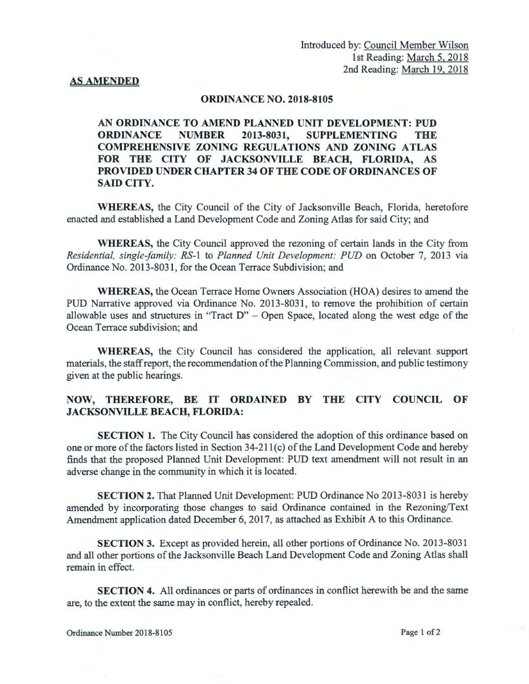## **AS AMENDED**

## **ORDINANCE NO. 2018-8105**

**AN ORDINANCE TO AMEND PLANNED UNIT DEVELOPMENT: PUD ORDINANCE NUMBER 2013-8031, SUPPLEMENTING THE COMPREHENSIVE ZONING REGULATIONS AND ZONING ATLAS FOR THE CITY OF JACKSONVILLE BEACH, FLORIDA, AS PROVIDED UNDER CHAPTER 34 OF THE CODE OF ORDINANCES OF SAID CITY.** 

**WHEREAS,** the City Council of the City of Jacksonville Beach, Florida, heretofore enacted and established a Land Development Code and Zoning Atlas for said City; and

**WHEREAS,** the City Council approved the rezoning of certain lands in the City from *Residential, single-family: RS-I* to *Planned Unit Development: PUD* on October 7, 2013 via Ordinance No. 2013-8031, for the Ocean Terrace Subdivision; and

**WHEREAS,** the Ocean Terrace Home Owners Association (HOA) desires to amend the PUD Narrative approved via Ordinance No. 2013-8031, to remove the prohibition of certain allowable uses and structures in "Tract D" - Open Space, located along the west edge of the Ocean Terrace subdivision; and

**WHEREAS,** the City Council has considered the application, all relevant support materials, the staff report, the recommendation of the Planning Commission, and public testimony given at the public hearings.

## **NOW, THEREFORE, BE IT ORDAINED BY THE CITY COUNCIL OF JACKSONVILLE BEACH, FLORIDA:**

**SECTION 1.** The City Council has considered the adoption of this ordinance based on one or more of the factors listed in Section 34-211(c) of the Land Development Code and hereby finds that the proposed Planned Unit Development: PUD text amendment will not result in an adverse change in the community in which it is located.

**SECTION 2.** That Planned Unit Development: PUD Ordinance No 2013-8031 is hereby amended by incorporating those changes to said Ordinance contained in the Rezoning/Text Amendment application dated December 6, 2017, as attached as Exhibit A to this Ordinance.

**SECTION** 3. Except as provided herein, all other portions of Ordinance No. 2013-8031 and all other portions of the Jacksonville Beach Land Development Code and Zoning Atlas shall remain in effect.

**SECTION 4.** All ordinances or parts of ordinances in conflict herewith be and the same are, to the extent the same may in conflict, hereby repealed.